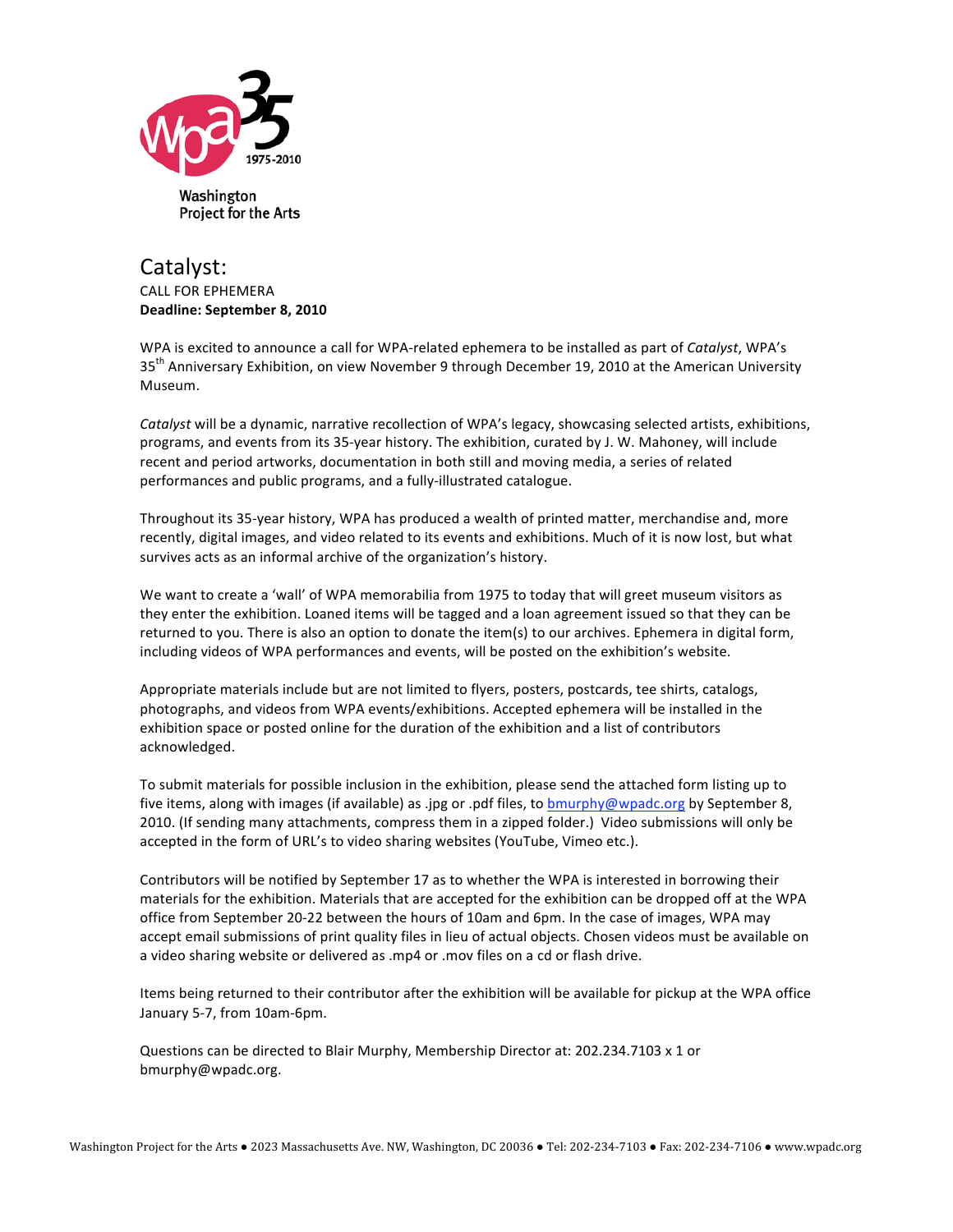

## Catalyst: **CALL FOR EPHEMERA** Deadline: September 8, 2010

WPA is excited to announce a call for WPA-related ephemera to be installed as part of Catalyst, WPA's 35<sup>th</sup> Anniversary Exhibition, on view November 9 through December 19, 2010 at the American University Museum.

Catalyst will be a dynamic, narrative recollection of WPA's legacy, showcasing selected artists, exhibitions, programs, and events from its 35-year history. The exhibition, curated by J. W. Mahoney, will include recent and period artworks, documentation in both still and moving media, a series of related performances and public programs, and a fully-illustrated catalogue.

Throughout its 35-year history, WPA has produced a wealth of printed matter, merchandise and, more recently, digital images, and video related to its events and exhibitions. Much of it is now lost, but what survives acts as an informal archive of the organization's history.

We want to create a 'wall' of WPA memorabilia from 1975 to today that will greet museum visitors as they enter the exhibition. Loaned items will be tagged and a loan agreement issued so that they can be returned to you. There is also an option to donate the item(s) to our archives. Ephemera in digital form, including videos of WPA performances and events, will be posted on the exhibition's website.

Appropriate materials include but are not limited to flyers, posters, postcards, tee shirts, catalogs, photographs, and videos from WPA events/exhibitions. Accepted ephemera will be installed in the exhibition space or posted online for the duration of the exhibition and a list of contributors acknowledged.

To submit materials for possible inclusion in the exhibition, please send the attached form listing up to five items, along with images (if available) as .jpg or .pdf files, to bmurphy@wpadc.org by September 8, 2010. (If sending many attachments, compress them in a zipped folder.) Video submissions will only be accepted in the form of URL's to video sharing websites (YouTube, Vimeo etc.).

Contributors will be notified by September 17 as to whether the WPA is interested in borrowing their materials for the exhibition. Materials that are accepted for the exhibition can be dropped off at the WPA office from September 20-22 between the hours of 10am and 6pm. In the case of images, WPA may accept email submissions of print quality files in lieu of actual objects. Chosen videos must be available on a video sharing website or delivered as .mp4 or .mov files on a cd or flash drive.

Items being returned to their contributor after the exhibition will be available for pickup at the WPA office January 5-7, from 10am-6pm.

Questions can be directed to Blair Murphy, Membership Director at: 202.234.7103 x 1 or bmurphy@wpadc.org.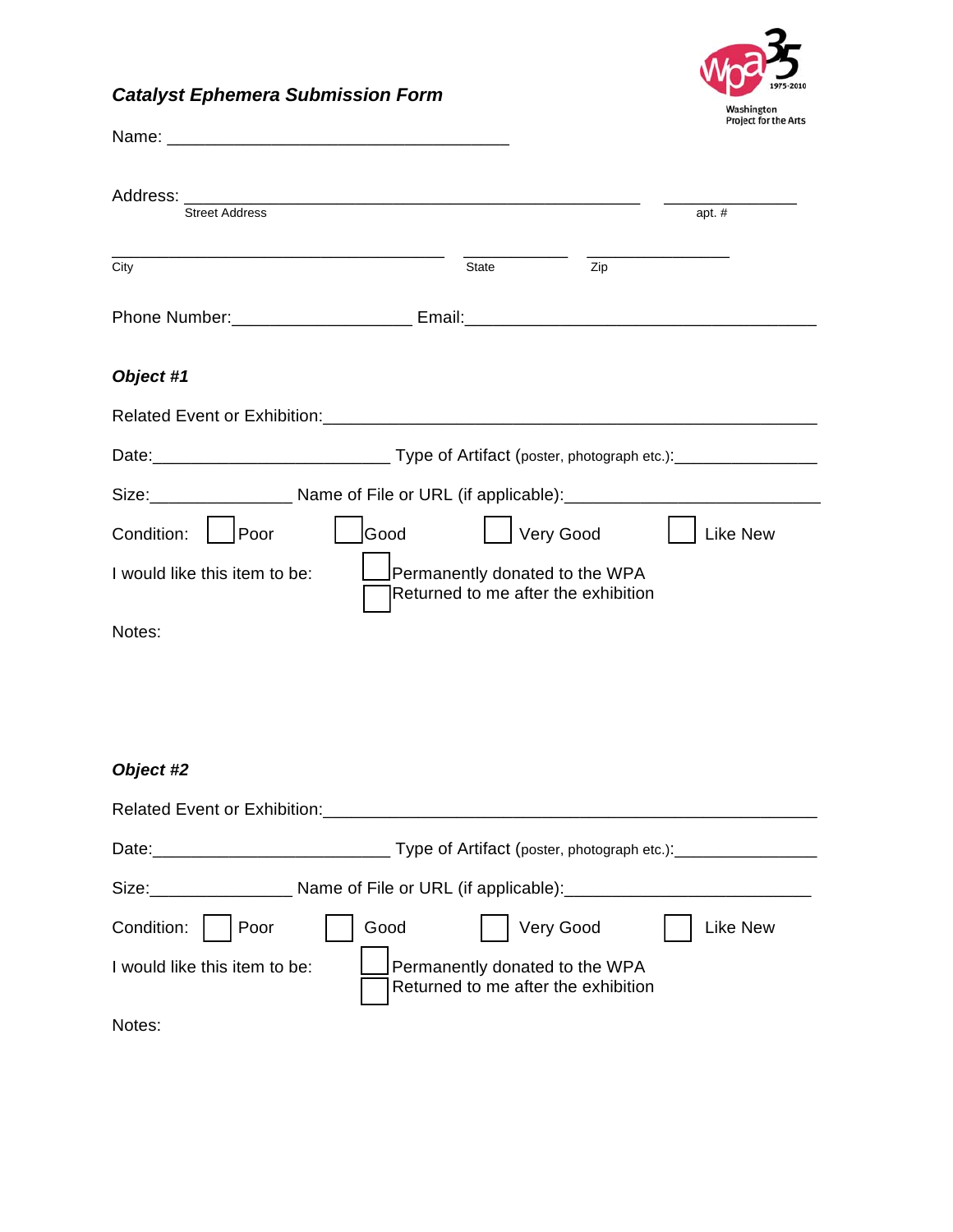## *Catalyst Ephemera Submission Form*



| Street Address                                                                                      |                                                                       |     | apt. #          |
|-----------------------------------------------------------------------------------------------------|-----------------------------------------------------------------------|-----|-----------------|
| City                                                                                                | <b>State</b>                                                          | Zip |                 |
|                                                                                                     |                                                                       |     |                 |
| Object #1                                                                                           |                                                                       |     |                 |
|                                                                                                     |                                                                       |     |                 |
|                                                                                                     |                                                                       |     |                 |
| Size: ____________________ Name of File or URL (if applicable): ___________________________________ |                                                                       |     |                 |
| Poor<br>Good<br>Condition:                                                                          | Very Good                                                             |     | <b>Like New</b> |
| I would like this item to be:                                                                       | Permanently donated to the WPA<br>Returned to me after the exhibition |     |                 |
| Notes:                                                                                              |                                                                       |     |                 |

## *Object #2*

| <b>Related Event or Exhibition:</b>                                                                                                                                                                                            |                                                                       |
|--------------------------------------------------------------------------------------------------------------------------------------------------------------------------------------------------------------------------------|-----------------------------------------------------------------------|
| Date: the contract of the contract of the contract of the contract of the contract of the contract of the contract of the contract of the contract of the contract of the contract of the contract of the contract of the cont | Type of Artifact (poster, photograph etc.): _________                 |
| Size: when the state of the state of the state of the state of the state of the state of the state of the state of the state of the state of the state of the state of the state of the state of the state of the state of the |                                                                       |
| Condition:<br>Poor                                                                                                                                                                                                             | Very Good<br>Good<br><b>Like New</b>                                  |
| I would like this item to be:                                                                                                                                                                                                  | Permanently donated to the WPA<br>Returned to me after the exhibition |
| Notes:                                                                                                                                                                                                                         |                                                                       |